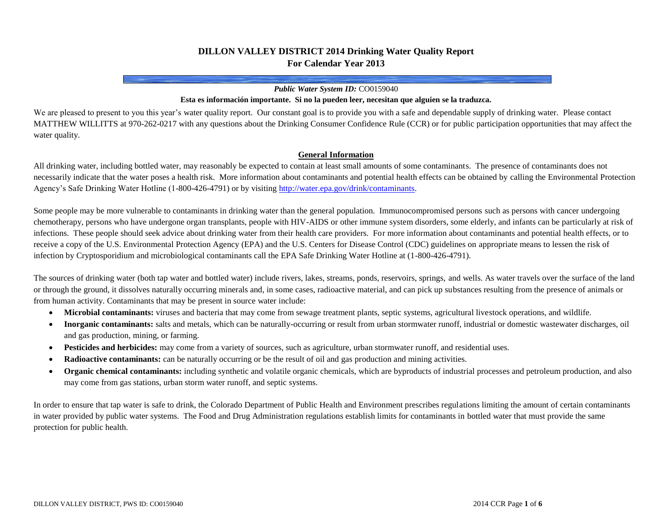# **DILLON VALLEY DISTRICT 2014 Drinking Water Quality Report For Calendar Year 2013**

#### *Public Water System ID:* CO0159040

#### **Esta es información importante. Si no la pueden leer, necesitan que alguien se la traduzca.**

We are pleased to present to you this year's water quality report. Our constant goal is to provide you with a safe and dependable supply of drinking water. Please contact MATTHEW WILLITTS at 970-262-0217 with any questions about the Drinking Consumer Confidence Rule (CCR) or for public participation opportunities that may affect the water quality.

#### **General Information**

All drinking water, including bottled water, may reasonably be expected to contain at least small amounts of some contaminants. The presence of contaminants does not necessarily indicate that the water poses a health risk. More information about contaminants and potential health effects can be obtained by calling the Environmental Protection Agency's Safe Drinking Water Hotline (1-800-426-4791) or by visitin[g http://water.epa.gov/drink/contaminants.](http://water.epa.gov/drink/contaminants)

Some people may be more vulnerable to contaminants in drinking water than the general population. Immunocompromised persons such as persons with cancer undergoing chemotherapy, persons who have undergone organ transplants, people with HIV-AIDS or other immune system disorders, some elderly, and infants can be particularly at risk of infections. These people should seek advice about drinking water from their health care providers. For more information about contaminants and potential health effects, or to receive a copy of the U.S. Environmental Protection Agency (EPA) and the U.S. Centers for Disease Control (CDC) guidelines on appropriate means to lessen the risk of infection by Cryptosporidium and microbiological contaminants call the EPA Safe Drinking Water Hotline at (1-800-426-4791).

The sources of drinking water (both tap water and bottled water) include rivers, lakes, streams, ponds, reservoirs, springs, and wells. As water travels over the surface of the land or through the ground, it dissolves naturally occurring minerals and, in some cases, radioactive material, and can pick up substances resulting from the presence of animals or from human activity. Contaminants that may be present in source water include:

- **Microbial contaminants:** viruses and bacteria that may come from sewage treatment plants, septic systems, agricultural livestock operations, and wildlife.
- **Inorganic contaminants:** salts and metals, which can be naturally-occurring or result from urban stormwater runoff, industrial or domestic wastewater discharges, oil and gas production, mining, or farming.
- **Pesticides and herbicides:** may come from a variety of sources, such as agriculture, urban stormwater runoff, and residential uses.
- **Radioactive contaminants:** can be naturally occurring or be the result of oil and gas production and mining activities.
- **Organic chemical contaminants:** including synthetic and volatile organic chemicals, which are byproducts of industrial processes and petroleum production, and also may come from gas stations, urban storm water runoff, and septic systems.

In order to ensure that tap water is safe to drink, the Colorado Department of Public Health and Environment prescribes regulations limiting the amount of certain contaminants in water provided by public water systems. The Food and Drug Administration regulations establish limits for contaminants in bottled water that must provide the same protection for public health.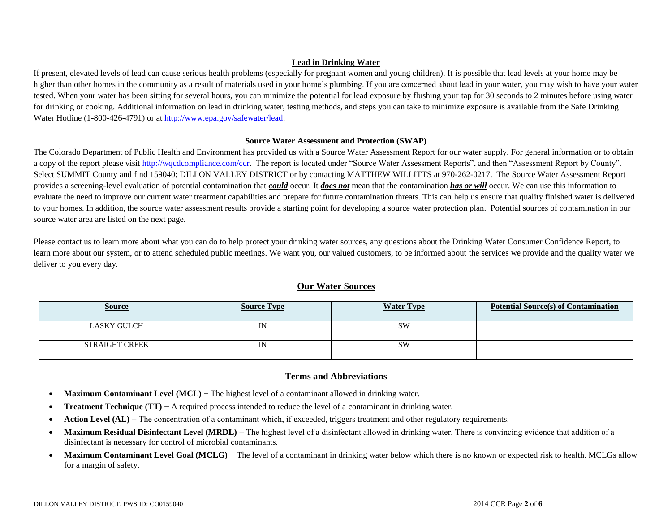### **Lead in Drinking Water**

If present, elevated levels of lead can cause serious health problems (especially for pregnant women and young children). It is possible that lead levels at your home may be higher than other homes in the community as a result of materials used in your home's plumbing. If you are concerned about lead in your water, you may wish to have your water tested. When your water has been sitting for several hours, you can minimize the potential for lead exposure by flushing your tap for 30 seconds to 2 minutes before using water for drinking or cooking. Additional information on lead in drinking water, testing methods, and steps you can take to minimize exposure is available from the Safe Drinking Water Hotline (1-800-426-4791) or a[t http://www.epa.gov/safewater/lead.](http://www.epa.gov/safewater/lead)

#### **Source Water Assessment and Protection (SWAP)**

The Colorado Department of Public Health and Environment has provided us with a Source Water Assessment Report for our water supply. For general information or to obtain a copy of the report please visit [http://wqcdcompliance.com/ccr.](http://wqcdcompliance.com/ccr) The report is located under "Source Water Assessment Reports", and then "Assessment Report by County". Select SUMMIT County and find 159040; DILLON VALLEY DISTRICT or by contacting MATTHEW WILLITTS at 970-262-0217. The Source Water Assessment Report provides a screening-level evaluation of potential contamination that *could* occur. It *does not* mean that the contamination *has or will* occur. We can use this information to evaluate the need to improve our current water treatment capabilities and prepare for future contamination threats. This can help us ensure that quality finished water is delivered to your homes. In addition, the source water assessment results provide a starting point for developing a source water protection plan. Potential sources of contamination in our source water area are listed on the next page.

Please contact us to learn more about what you can do to help protect your drinking water sources, any questions about the Drinking Water Consumer Confidence Report, to learn more about our system, or to attend scheduled public meetings. We want you, our valued customers, to be informed about the services we provide and the quality water we deliver to you every day.

### **Our Water Sources**

| <u>Source</u>         | <b>Source Type</b> | <b>Water Type</b> | <b>Potential Source(s) of Contamination</b> |
|-----------------------|--------------------|-------------------|---------------------------------------------|
| <b>LASKY GULCH</b>    | IN                 | <b>SW</b>         |                                             |
| <b>STRAIGHT CREEK</b> | IN                 | <b>SW</b>         |                                             |

## **Terms and Abbreviations**

- **Maximum Contaminant Level (MCL)** − The highest level of a contaminant allowed in drinking water.
- **Treatment Technique (TT)** − A required process intended to reduce the level of a contaminant in drinking water.
- **Action Level (AL)** − The concentration of a contaminant which, if exceeded, triggers treatment and other regulatory requirements.
- **Maximum Residual Disinfectant Level (MRDL)** The highest level of a disinfectant allowed in drinking water. There is convincing evidence that addition of a disinfectant is necessary for control of microbial contaminants.
- Maximum Contaminant Level Goal (MCLG) The level of a contaminant in drinking water below which there is no known or expected risk to health. MCLGs allow for a margin of safety.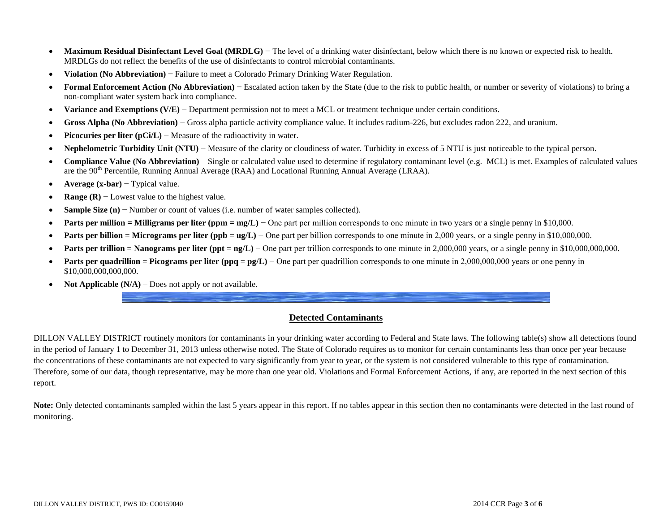- Maximum Residual Disinfectant Level Goal (MRDLG) The level of a drinking water disinfectant, below which there is no known or expected risk to health. MRDLGs do not reflect the benefits of the use of disinfectants to control microbial contaminants.
- **Violation (No Abbreviation)** − Failure to meet a Colorado Primary Drinking Water Regulation.
- **Formal Enforcement Action (No Abbreviation)** − Escalated action taken by the State (due to the risk to public health, or number or severity of violations) to bring a non-compliant water system back into compliance.
- **Variance and Exemptions (V/E)** − Department permission not to meet a MCL or treatment technique under certain conditions.
- **Gross Alpha (No Abbreviation)** − Gross alpha particle activity compliance value. It includes radium-226, but excludes radon 222, and uranium.
- **Picocuries per liter (pCi/L)** − Measure of the radioactivity in water.
- **Nephelometric Turbidity Unit (NTU)** − Measure of the clarity or cloudiness of water. Turbidity in excess of 5 NTU is just noticeable to the typical person.
- **Compliance Value (No Abbreviation)** Single or calculated value used to determine if regulatory contaminant level (e.g. MCL) is met. Examples of calculated values are the 90<sup>th</sup> Percentile, Running Annual Average (RAA) and Locational Running Annual Average (LRAA).
- **Average (x-bar)** − Typical value.
- **• Range (R)** − Lowest value to the highest value.
- **Sample Size (n)** − Number or count of values (i.e. number of water samples collected).
- **Parts per million = Milligrams per liter (ppm = mg/L)** One part per million corresponds to one minute in two years or a single penny in \$10,000.
- **Parts per billion = Micrograms per liter (ppb = ug/L)** One part per billion corresponds to one minute in 2,000 years, or a single penny in \$10,000,000.
- **Parts per trillion = Nanograms per liter (ppt = ng/L)** − One part per trillion corresponds to one minute in 2,000,000 years, or a single penny in \$10,000,000,000.000.
- **Parts per quadrillion = Picograms per liter (ppq = pg/L)** One part per quadrillion corresponds to one minute in 2,000,000,000 years or one penny in \$10,000,000,000,000.
- **Not Applicable (N/A)** Does not apply or not available.

## **Detected Contaminants**

DILLON VALLEY DISTRICT routinely monitors for contaminants in your drinking water according to Federal and State laws. The following table(s) show all detections found in the period of January 1 to December 31, 2013 unless otherwise noted. The State of Colorado requires us to monitor for certain contaminants less than once per year because the concentrations of these contaminants are not expected to vary significantly from year to year, or the system is not considered vulnerable to this type of contamination. Therefore, some of our data, though representative, may be more than one year old. Violations and Formal Enforcement Actions, if any, are reported in the next section of this report.

Note: Only detected contaminants sampled within the last 5 years appear in this report. If no tables appear in this section then no contaminants were detected in the last round of monitoring.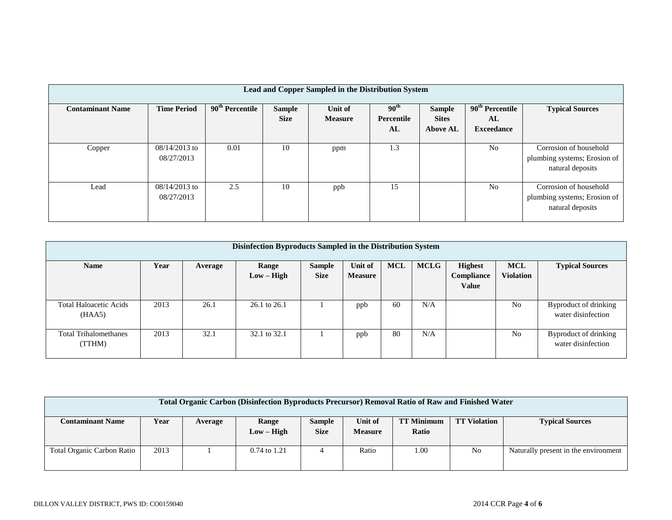| Lead and Copper Sampled in the Distribution System |                               |                                          |                              |                           |                                      |                                                  |                                              |                                                                            |  |  |  |
|----------------------------------------------------|-------------------------------|------------------------------------------|------------------------------|---------------------------|--------------------------------------|--------------------------------------------------|----------------------------------------------|----------------------------------------------------------------------------|--|--|--|
| <b>Contaminant Name</b>                            | <b>Time Period</b>            | $\overline{90}$ <sup>th</sup> Percentile | <b>Sample</b><br><b>Size</b> | Unit of<br><b>Measure</b> | 90 <sup>th</sup><br>Percentile<br>AL | <b>Sample</b><br><b>Sites</b><br><b>Above AL</b> | $90th$ Percentile<br>AL<br><b>Exceedance</b> | <b>Typical Sources</b>                                                     |  |  |  |
| Copper                                             | $08/14/2013$ to<br>08/27/2013 | 0.01                                     | 10                           | ppm                       | 1.3                                  |                                                  | N <sub>0</sub>                               | Corrosion of household<br>plumbing systems; Erosion of<br>natural deposits |  |  |  |
| Lead                                               | $08/14/2013$ to<br>08/27/2013 | 2.5                                      | 10                           | ppb                       | 15                                   |                                                  | N <sub>0</sub>                               | Corrosion of household<br>plumbing systems; Erosion of<br>natural deposits |  |  |  |

| Disinfection Byproducts Sampled in the Distribution System |      |         |              |               |                |            |             |                   |                  |                        |  |  |
|------------------------------------------------------------|------|---------|--------------|---------------|----------------|------------|-------------|-------------------|------------------|------------------------|--|--|
| <b>Name</b>                                                | Year | Average | Range        | <b>Sample</b> | Unit of        | <b>MCL</b> | <b>MCLG</b> | <b>Highest</b>    | <b>MCL</b>       | <b>Typical Sources</b> |  |  |
|                                                            |      |         | $Low - High$ | <b>Size</b>   | <b>Measure</b> |            |             | <b>Compliance</b> | <b>Violation</b> |                        |  |  |
|                                                            |      |         |              |               |                |            |             | <b>Value</b>      |                  |                        |  |  |
|                                                            |      |         |              |               |                |            |             |                   |                  |                        |  |  |
| <b>Total Haloacetic Acids</b>                              | 2013 | 26.1    | 26.1 to 26.1 |               | ppb            | 60         | N/A         |                   | N <sub>0</sub>   | Byproduct of drinking  |  |  |
| (HAA5)                                                     |      |         |              |               |                |            |             |                   |                  | water disinfection     |  |  |
|                                                            |      |         |              |               |                |            |             |                   |                  |                        |  |  |
| <b>Total Trihalomethanes</b>                               | 2013 | 32.1    | 32.1 to 32.1 |               | ppb            | 80         | N/A         |                   | N <sub>0</sub>   | Byproduct of drinking  |  |  |
| (TTHM)                                                     |      |         |              |               |                |            |             |                   |                  | water disinfection     |  |  |
|                                                            |      |         |              |               |                |            |             |                   |                  |                        |  |  |

| <b>Total Organic Carbon (Disinfection Byproducts Precursor) Removal Ratio of Raw and Finished Water</b> |      |         |                       |                              |                           |                            |                     |                                      |  |  |
|---------------------------------------------------------------------------------------------------------|------|---------|-----------------------|------------------------------|---------------------------|----------------------------|---------------------|--------------------------------------|--|--|
| <b>Contaminant Name</b>                                                                                 | Year | Average | Range<br>$Low - High$ | <b>Sample</b><br><b>Size</b> | Unit of<br><b>Measure</b> | <b>TT Minimum</b><br>Ratio | <b>TT Violation</b> | <b>Typical Sources</b>               |  |  |
| Total Organic Carbon Ratio                                                                              | 2013 |         | $0.74$ to $1.21$      |                              | Ratio                     | 1.00                       | No                  | Naturally present in the environment |  |  |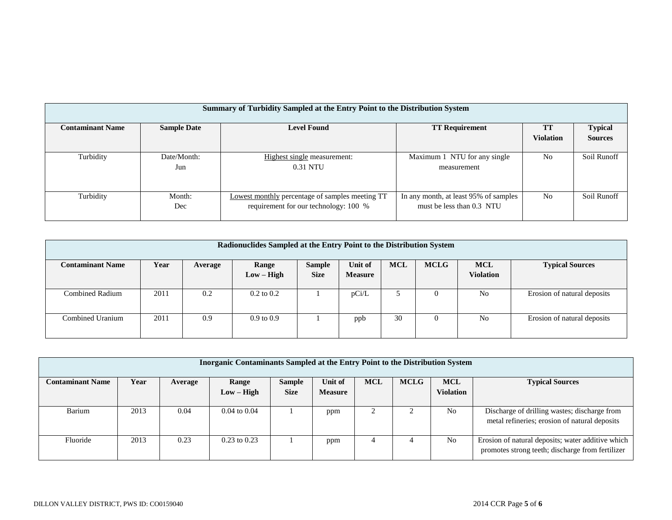|                         | Summary of Turbidity Sampled at the Entry Point to the Distribution System |                                                        |                                       |                  |                |  |  |  |  |  |  |  |
|-------------------------|----------------------------------------------------------------------------|--------------------------------------------------------|---------------------------------------|------------------|----------------|--|--|--|--|--|--|--|
|                         |                                                                            |                                                        |                                       |                  |                |  |  |  |  |  |  |  |
| <b>Contaminant Name</b> | <b>Sample Date</b>                                                         | <b>Level Found</b>                                     | <b>TT Requirement</b>                 | TT               | <b>Typical</b> |  |  |  |  |  |  |  |
|                         |                                                                            |                                                        |                                       | <b>Violation</b> | <b>Sources</b> |  |  |  |  |  |  |  |
|                         |                                                                            |                                                        |                                       |                  |                |  |  |  |  |  |  |  |
| Turbidity               | Date/Month:                                                                | Highest single measurement:                            | Maximum 1 NTU for any single          | N <sub>0</sub>   | Soil Runoff    |  |  |  |  |  |  |  |
|                         | Jun                                                                        | 0.31 NTU                                               | measurement                           |                  |                |  |  |  |  |  |  |  |
|                         |                                                                            |                                                        |                                       |                  |                |  |  |  |  |  |  |  |
|                         |                                                                            |                                                        |                                       |                  |                |  |  |  |  |  |  |  |
| Turbidity               | Month:                                                                     | <b>Lowest monthly percentage of samples meeting TT</b> | In any month, at least 95% of samples | N <sub>0</sub>   | Soil Runoff    |  |  |  |  |  |  |  |
|                         |                                                                            |                                                        |                                       |                  |                |  |  |  |  |  |  |  |
|                         | Dec                                                                        | requirement for our technology: 100 %                  | must be less than 0.3 NTU             |                  |                |  |  |  |  |  |  |  |
|                         |                                                                            |                                                        |                                       |                  |                |  |  |  |  |  |  |  |

| Radionuclides Sampled at the Entry Point to the Distribution System                                                                                  |      |     |                       |             |                |    |          |                  |                             |  |  |
|------------------------------------------------------------------------------------------------------------------------------------------------------|------|-----|-----------------------|-------------|----------------|----|----------|------------------|-----------------------------|--|--|
| <b>MCL</b><br><b>MCLG</b><br>Year<br><b>MCL</b><br>Unit of<br><b>Contaminant Name</b><br>Range<br><b>Sample</b><br><b>Typical Sources</b><br>Average |      |     |                       |             |                |    |          |                  |                             |  |  |
|                                                                                                                                                      |      |     | $Low - High$          | <b>Size</b> | <b>Measure</b> |    |          | <b>Violation</b> |                             |  |  |
|                                                                                                                                                      |      |     |                       |             |                |    |          |                  |                             |  |  |
| Combined Radium                                                                                                                                      | 2011 | 0.2 | $0.2 \text{ to } 0.2$ |             | pCi/L          |    | $\Omega$ | N <sub>0</sub>   | Erosion of natural deposits |  |  |
|                                                                                                                                                      |      |     |                       |             |                |    |          |                  |                             |  |  |
| Combined Uranium                                                                                                                                     | 2011 | 0.9 | $0.9 \text{ to } 0.9$ |             | ppb            | 30 | $\Omega$ | N <sub>0</sub>   | Erosion of natural deposits |  |  |
|                                                                                                                                                      |      |     |                       |             |                |    |          |                  |                             |  |  |

| <b>Inorganic Contaminants Sampled at the Entry Point to the Distribution System</b> |      |         |                         |                              |                           |            |             |                                |                                                                                                       |  |  |  |
|-------------------------------------------------------------------------------------|------|---------|-------------------------|------------------------------|---------------------------|------------|-------------|--------------------------------|-------------------------------------------------------------------------------------------------------|--|--|--|
| <b>Contaminant Name</b>                                                             | Year | Average | Range<br>$Low - High$   | <b>Sample</b><br><b>Size</b> | Unit of<br><b>Measure</b> | <b>MCL</b> | <b>MCLG</b> | <b>MCL</b><br><b>Violation</b> | <b>Typical Sources</b>                                                                                |  |  |  |
| Barium                                                                              | 2013 | 0.04    | $0.04 \text{ to } 0.04$ |                              | ppm                       |            |             | No                             | Discharge of drilling wastes; discharge from<br>metal refineries; erosion of natural deposits         |  |  |  |
| Fluoride                                                                            | 2013 | 0.23    | $0.23$ to $0.23$        |                              | ppm                       |            |             | No                             | Erosion of natural deposits; water additive which<br>promotes strong teeth; discharge from fertilizer |  |  |  |